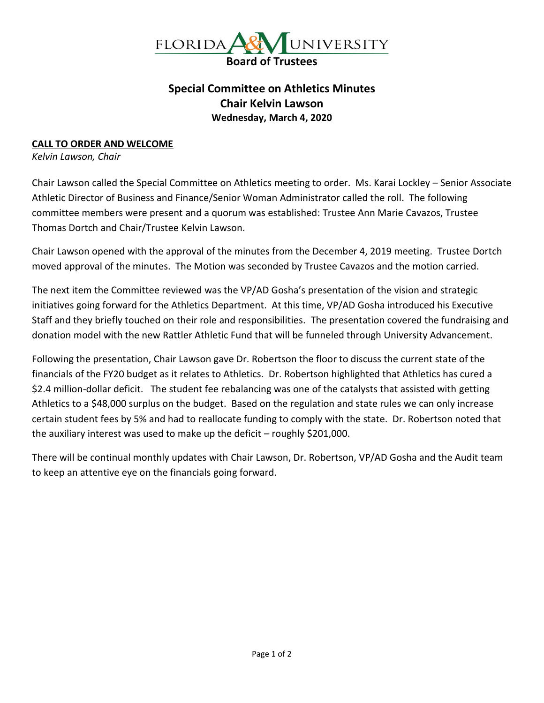

## **Special Committee on Athletics Minutes Chair Kelvin Lawson Wednesday, March 4, 2020**

## **CALL TO ORDER AND WELCOME**

*Kelvin Lawson, Chair*

Chair Lawson called the Special Committee on Athletics meeting to order. Ms. Karai Lockley – Senior Associate Athletic Director of Business and Finance/Senior Woman Administrator called the roll. The following committee members were present and a quorum was established: Trustee Ann Marie Cavazos, Trustee Thomas Dortch and Chair/Trustee Kelvin Lawson.

Chair Lawson opened with the approval of the minutes from the December 4, 2019 meeting. Trustee Dortch moved approval of the minutes. The Motion was seconded by Trustee Cavazos and the motion carried.

The next item the Committee reviewed was the VP/AD Gosha's presentation of the vision and strategic initiatives going forward for the Athletics Department. At this time, VP/AD Gosha introduced his Executive Staff and they briefly touched on their role and responsibilities. The presentation covered the fundraising and donation model with the new Rattler Athletic Fund that will be funneled through University Advancement.

Following the presentation, Chair Lawson gave Dr. Robertson the floor to discuss the current state of the financials of the FY20 budget as it relates to Athletics. Dr. Robertson highlighted that Athletics has cured a \$2.4 million-dollar deficit. The student fee rebalancing was one of the catalysts that assisted with getting Athletics to a \$48,000 surplus on the budget. Based on the regulation and state rules we can only increase certain student fees by 5% and had to reallocate funding to comply with the state. Dr. Robertson noted that the auxiliary interest was used to make up the deficit – roughly \$201,000.

There will be continual monthly updates with Chair Lawson, Dr. Robertson, VP/AD Gosha and the Audit team to keep an attentive eye on the financials going forward.